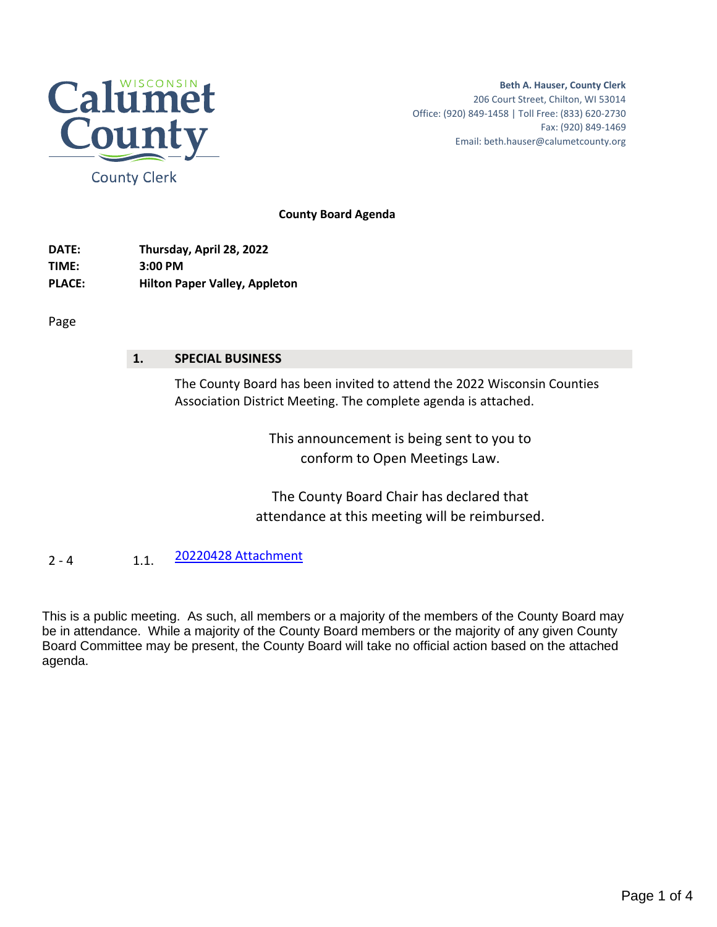

**Beth A. Hauser, County Clerk** 206 Court Street, Chilton, WI 53014 Office: (920) 849-1458 | Toll Free: (833) 620-2730 Fax: (920) 849-1469 Email: beth.hauser@calumetcounty.org

**County Board Agenda**

**DATE: Thursday, April 28, 2022 TIME: 3:00 PM PLACE: Hilton Paper Valley, Appleton**

Page

## **1. SPECIAL BUSINESS**

The County Board has been invited to attend the 2022 Wisconsin Counties Association District Meeting. The complete agenda is attached.

> This announcement is being sent to you to conform to Open Meetings Law.

The County Board Chair has declared that attendance at this meeting will be reimbursed.

2 - 4 1.1. [20220428 Attachment](#page-1-0)

This is a public meeting. As such, all members or a majority of the members of the County Board may be in attendance. While a majority of the County Board members or the majority of any given County Board Committee may be present, the County Board will take no official action based on the attached agenda.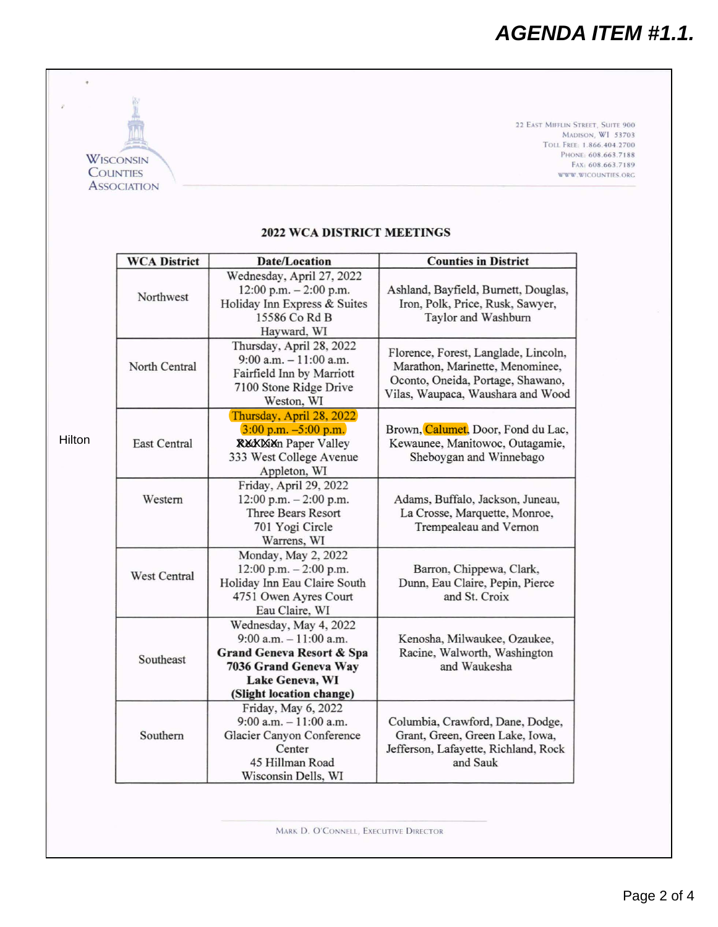<span id="page-1-0"></span>

|        | <b>WISCONSIN</b><br><b>COUNTIES</b><br><b>ASSOCIATION</b> |                                                                                                                                                                     | 22 EAST MIFFLIN STREET, SUITE 900<br><b>MADISON, WI 53703</b><br>TOLL FREE: 1.866.404.2700<br>PHONE: 608.663.7188<br>FAX: 608.663.7189<br>WWW.WICOUNTIES.ORG |  |
|--------|-----------------------------------------------------------|---------------------------------------------------------------------------------------------------------------------------------------------------------------------|--------------------------------------------------------------------------------------------------------------------------------------------------------------|--|
|        |                                                           | <b>2022 WCA DISTRICT MEETINGS</b>                                                                                                                                   |                                                                                                                                                              |  |
|        | <b>WCA District</b>                                       | <b>Date/Location</b>                                                                                                                                                | <b>Counties in District</b>                                                                                                                                  |  |
|        | Northwest                                                 | Wednesday, April 27, 2022<br>12:00 p.m. $-2:00$ p.m.<br>Holiday Inn Express & Suites<br>15586 Co Rd B<br>Hayward, WI                                                | Ashland, Bayfield, Burnett, Douglas,<br>Iron, Polk, Price, Rusk, Sawyer,<br>Taylor and Washburn                                                              |  |
|        | North Central                                             | Thursday, April 28, 2022<br>$9:00$ a.m. $-11:00$ a.m.<br>Fairfield Inn by Marriott<br>7100 Stone Ridge Drive<br>Weston, WI                                          | Florence, Forest, Langlade, Lincoln,<br>Marathon, Marinette, Menominee,<br>Oconto, Oneida, Portage, Shawano,<br>Vilas, Waupaca, Waushara and Wood            |  |
| Hilton | <b>East Central</b>                                       | Thursday, April 28, 2022<br>$3:00$ p.m. $-5:00$ p.m.<br><b>RECKETED</b> Paper Valley<br>333 West College Avenue<br>Appleton, WI                                     | Brown, Calumet, Door, Fond du Lac,<br>Kewaunee, Manitowoc, Outagamie,<br>Sheboygan and Winnebago                                                             |  |
|        | Western                                                   | Friday, April 29, 2022<br>12:00 p.m. $-2:00$ p.m.<br>Three Bears Resort<br>701 Yogi Circle<br>Warrens, WI                                                           | Adams, Buffalo, Jackson, Juneau,<br>La Crosse, Marquette, Monroe,<br>Trempealeau and Vernon                                                                  |  |
|        | <b>West Central</b>                                       | Monday, May 2, 2022<br>12:00 p.m. $-2:00$ p.m.<br>Holiday Inn Eau Claire South<br>4751 Owen Ayres Court<br>Eau Claire, WI                                           | Barron, Chippewa, Clark,<br>Dunn, Eau Claire, Pepin, Pierce<br>and St. Croix                                                                                 |  |
|        | Southeast                                                 | Wednesday, May 4, 2022<br>$9:00$ a.m. $-11:00$ a.m.<br><b>Grand Geneva Resort &amp; Spa</b><br>7036 Grand Geneva Way<br>Lake Geneva, WI<br>(Slight location change) | Kenosha, Milwaukee, Ozaukee,<br>Racine, Walworth, Washington<br>and Waukesha                                                                                 |  |
|        | Southern                                                  | Friday, May 6, 2022<br>$9:00$ a.m. $-11:00$ a.m.<br>Glacier Canyon Conference<br>Center<br>45 Hillman Road<br>Wisconsin Dells, WI                                   | Columbia, Crawford, Dane, Dodge,<br>Grant, Green, Green Lake, Iowa,<br>Jefferson, Lafayette, Richland, Rock<br>and Sauk                                      |  |

MARK D. O'CONNELL, EXECUTIVE DIRECTOR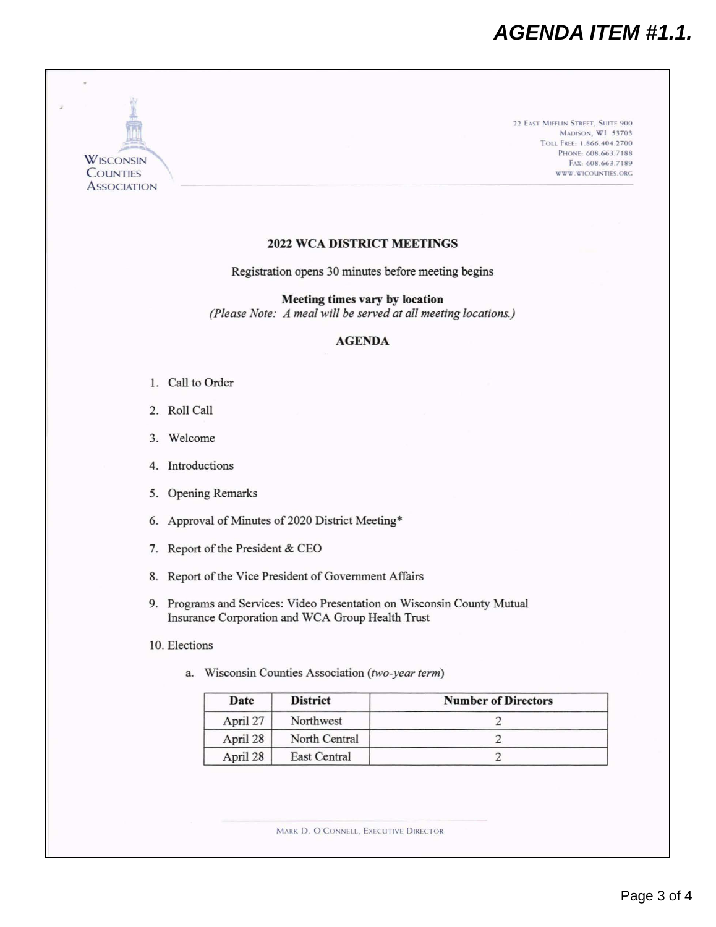## *AGENDA ITEM #1.1.*



- 9. Programs and Services: Video Presentation on Wisconsin County Mutual Insurance Corporation and WCA Group Health Trust
- 10. Elections
	- a. Wisconsin Counties Association *(two-year term)*

| Date     | <b>District</b>     | <b>Number of Directors</b> |  |
|----------|---------------------|----------------------------|--|
| April 27 | Northwest           |                            |  |
| April 28 | North Central       |                            |  |
| April 28 | <b>East Central</b> |                            |  |

MARK D. O'CONNELL, EXECUTIVE DIRECTOR